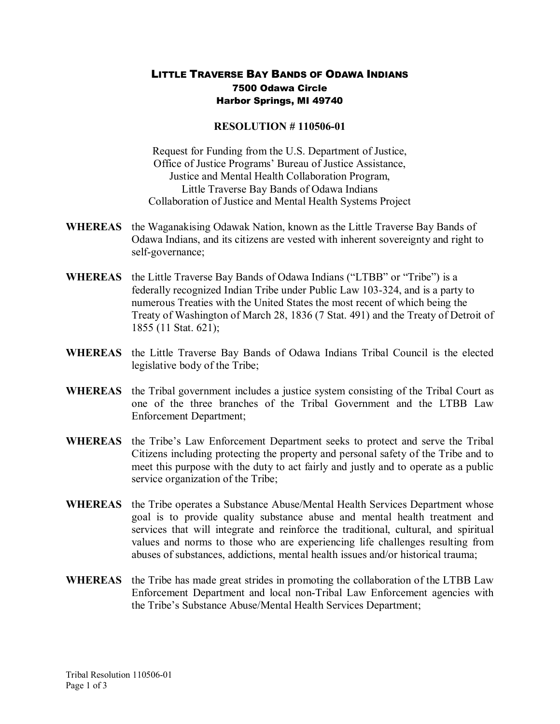## LITTLE TRAVERSE BAY BANDS OF ODAWA INDIANS 7500 Odawa Circle Harbor Springs, MI 49740

## **RESOLUTION #110506-01**

Request for Funding from the U.S. Department of Justice, Office of Justice Programs' Bureau of Justice Assistance, Justice and Mental Health Collaboration Program, Little Traverse Bay Bands of Odawa Indians Collaboration of Justice and Mental Health Systems Project

- **WHEREAS** the Waganakising Odawak Nation, known as the Little Traverse Bay Bands of Odawa Indians, and its citizens are vested with inherent sovereignty and right to self-governance;
- **WHEREAS** the Little Traverse Bay Bands of Odawa Indians ("LTBB" or "Tribe") is a federally recognized Indian Tribe under Public Law 103-324, and is a party to numerous Treaties with the United States the most recent of which being the Treaty of Washington of March 28, 1836 (7 Stat. 491) and the Treaty of Detroit of 1855 (11 Stat. 621);
- **WHEREAS** the Little Traverse Bay Bands of Odawa Indians Tribal Council is the elected legislative body of the Tribe;
- **WHEREAS** the Tribal government includes a justice system consisting of the Tribal Court as one of the three branches of the Tribal Government and the LTBB Law Enforcement Department;
- **WHEREAS** the Tribe's Law Enforcement Department seeks to protect and serve the Tribal Citizens including protecting the property and personal safety of the Tribe and to meet this purpose with the duty to act fairly and justly and to operate as a public service organization of the Tribe;
- **WHEREAS** the Tribe operates a Substance Abuse/Mental Health Services Department whose goal is to provide quality substance abuse and mental health treatment and services that will integrate and reinforce the traditional, cultural, and spiritual values and norms to those who are experiencing life challenges resulting from abuses of substances, addictions, mental health issues and/or historical trauma;
- **WHEREAS** the Tribe has made great strides in promoting the collaboration of the LTBB Law Enforcement Department and local non-Tribal Law Enforcement agencies with the Tribe's Substance Abuse/Mental Health Services Department;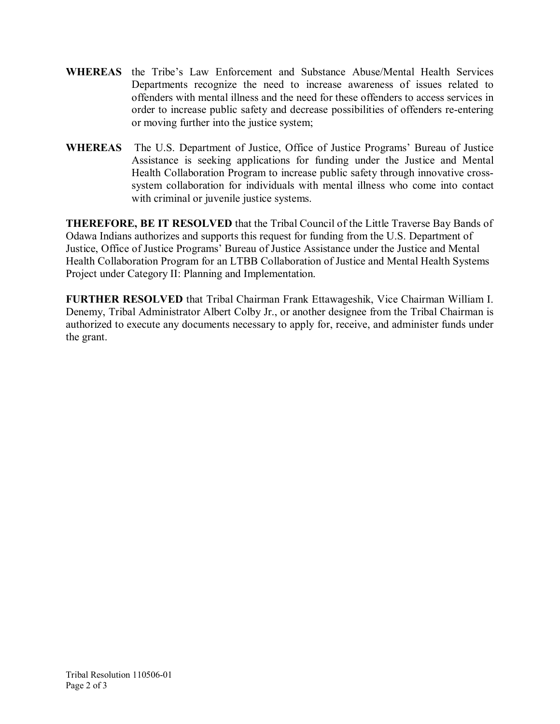- **WHEREAS** the Tribe's Law Enforcement and Substance Abuse/Mental Health Services Departments recognize the need to increase awareness of issues related to offenders with mental illness and the need for these offenders to access services in order to increase public safety and decrease possibilities of offenders re-entering or moving further into the justice system;
- **WHEREAS** The U.S. Department of Justice, Office of Justice Programs' Bureau of Justice Assistance is seeking applications for funding under the Justice and Mental Health Collaboration Program to increase public safety through innovative cross system collaboration for individuals with mental illness who come into contact with criminal or juvenile justice systems.

**THEREFORE, BE IT RESOLVED** that the Tribal Council of the Little Traverse Bay Bands of Odawa Indians authorizes and supports this request for funding from the U.S. Department of Justice, Office of Justice Programs' Bureau of Justice Assistance under the Justice and Mental Health Collaboration Program for an LTBB Collaboration of Justice and Mental Health Systems Project under Category II: Planning and Implementation.

**FURTHER RESOLVED** that Tribal Chairman Frank Ettawageshik, Vice Chairman William I. Denemy, Tribal Administrator Albert Colby Jr., or another designee from the Tribal Chairman is authorized to execute any documents necessary to apply for, receive, and administer funds under the grant.